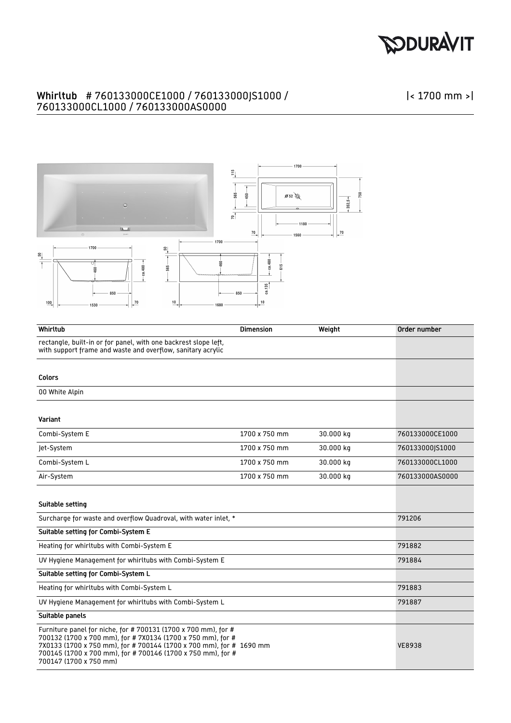## **PODURAVIT**

## Whirltub # 760133000CE1000 / 760133000JS1000 / 760133000CL1000 / 760133000AS0000



| Whirltub                                                                                                                                                                                                                                                                                     | <b>Dimension</b> | Weight    | Order number    |
|----------------------------------------------------------------------------------------------------------------------------------------------------------------------------------------------------------------------------------------------------------------------------------------------|------------------|-----------|-----------------|
| rectangle, built-in or for panel, with one backrest slope left,<br>with support frame and waste and overflow, sanitary acrylic                                                                                                                                                               |                  |           |                 |
|                                                                                                                                                                                                                                                                                              |                  |           |                 |
| <b>Colors</b>                                                                                                                                                                                                                                                                                |                  |           |                 |
| 00 White Alpin                                                                                                                                                                                                                                                                               |                  |           |                 |
|                                                                                                                                                                                                                                                                                              |                  |           |                 |
| Variant                                                                                                                                                                                                                                                                                      |                  |           |                 |
| Combi-System E                                                                                                                                                                                                                                                                               | 1700 x 750 mm    | 30.000 kg | 760133000CE1000 |
| Jet-System                                                                                                                                                                                                                                                                                   | 1700 x 750 mm    | 30.000 kg | 760133000JS1000 |
| Combi-System L                                                                                                                                                                                                                                                                               | 1700 x 750 mm    | 30.000 kg | 760133000CL1000 |
| Air-System                                                                                                                                                                                                                                                                                   | 1700 x 750 mm    | 30.000 kg | 760133000AS0000 |
|                                                                                                                                                                                                                                                                                              |                  |           |                 |
| Suitable setting                                                                                                                                                                                                                                                                             |                  |           |                 |
| Surcharge for waste and overflow Quadroval, with water inlet, *                                                                                                                                                                                                                              |                  |           | 791206          |
| Suitable setting for Combi-System E                                                                                                                                                                                                                                                          |                  |           |                 |
| Heating for whirltubs with Combi-System E                                                                                                                                                                                                                                                    |                  |           | 791882          |
| UV Hygiene Management for whirltubs with Combi-System E                                                                                                                                                                                                                                      |                  |           | 791884          |
| Suitable setting for Combi-System L                                                                                                                                                                                                                                                          |                  |           |                 |
| Heating for whirltubs with Combi-System L                                                                                                                                                                                                                                                    |                  |           | 791883          |
| UV Hygiene Management for whirltubs with Combi-System L                                                                                                                                                                                                                                      |                  |           | 791887          |
| Suitable panels                                                                                                                                                                                                                                                                              |                  |           |                 |
| Furniture panel for niche, for # 700131 (1700 x 700 mm), for #<br>700132 (1700 x 700 mm), for #7X0134 (1700 x 750 mm), for #<br>7X0133 (1700 x 750 mm), for # 700144 (1700 x 700 mm), for # 1690 mm<br>700145 (1700 x 700 mm), for # 700146 (1700 x 750 mm), for #<br>700147 (1700 x 750 mm) |                  |           | <b>VE8938</b>   |

|< 1700 mm >|